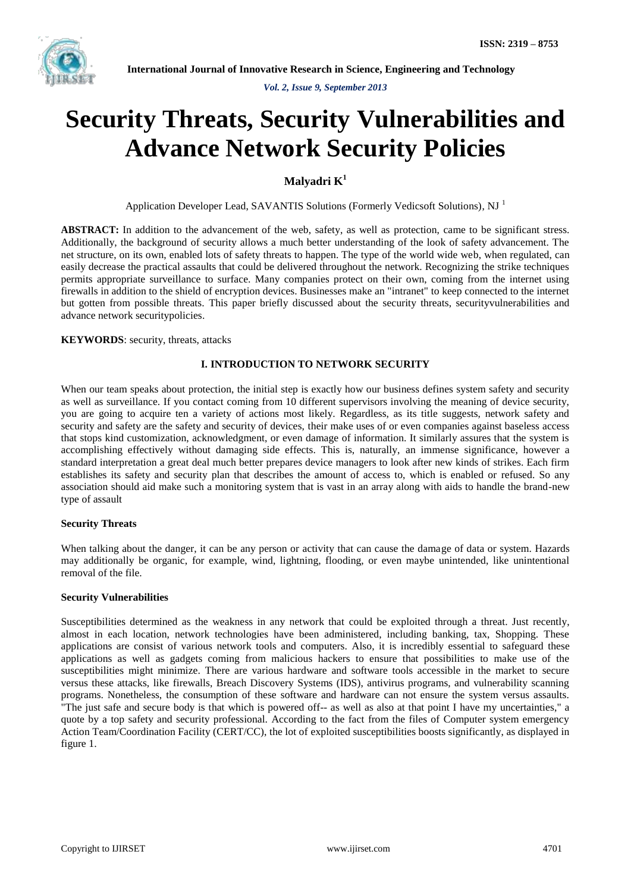

*Vol. 2, Issue 9, September 2013*

# **Security Threats, Security Vulnerabilities and Advance Network Security Policies**

**Malyadri K<sup>1</sup>**

Application Developer Lead, SAVANTIS Solutions (Formerly Vedicsoft Solutions), NJ<sup>1</sup>

**ABSTRACT:** In addition to the advancement of the web, safety, as well as protection, came to be significant stress. Additionally, the background of security allows a much better understanding of the look of safety advancement. The net structure, on its own, enabled lots of safety threats to happen. The type of the world wide web, when regulated, can easily decrease the practical assaults that could be delivered throughout the network. Recognizing the strike techniques permits appropriate surveillance to surface. Many companies protect on their own, coming from the internet using firewalls in addition to the shield of encryption devices. Businesses make an "intranet" to keep connected to the internet but gotten from possible threats. This paper briefly discussed about the security threats, securityvulnerabilities and advance network securitypolicies.

**KEYWORDS**: security, threats, attacks

# **I. INTRODUCTION TO NETWORK SECURITY**

When our team speaks about protection, the initial step is exactly how our business defines system safety and security as well as surveillance. If you contact coming from 10 different supervisors involving the meaning of device security, you are going to acquire ten a variety of actions most likely. Regardless, as its title suggests, network safety and security and safety are the safety and security of devices, their make uses of or even companies against baseless access that stops kind customization, acknowledgment, or even damage of information. It similarly assures that the system is accomplishing effectively without damaging side effects. This is, naturally, an immense significance, however a standard interpretation a great deal much better prepares device managers to look after new kinds of strikes. Each firm establishes its safety and security plan that describes the amount of access to, which is enabled or refused. So any association should aid make such a monitoring system that is vast in an array along with aids to handle the brand-new type of assault

#### **Security Threats**

When talking about the danger, it can be any person or activity that can cause the damage of data or system. Hazards may additionally be organic, for example, wind, lightning, flooding, or even maybe unintended, like unintentional removal of the file.

#### **Security Vulnerabilities**

Susceptibilities determined as the weakness in any network that could be exploited through a threat. Just recently, almost in each location, network technologies have been administered, including banking, tax, Shopping. These applications are consist of various network tools and computers. Also, it is incredibly essential to safeguard these applications as well as gadgets coming from malicious hackers to ensure that possibilities to make use of the susceptibilities might minimize. There are various hardware and software tools accessible in the market to secure versus these attacks, like firewalls, Breach Discovery Systems (IDS), antivirus programs, and vulnerability scanning programs. Nonetheless, the consumption of these software and hardware can not ensure the system versus assaults. "The just safe and secure body is that which is powered off-- as well as also at that point I have my uncertainties," a quote by a top safety and security professional. According to the fact from the files of Computer system emergency Action Team/Coordination Facility (CERT/CC), the lot of exploited susceptibilities boosts significantly, as displayed in figure 1.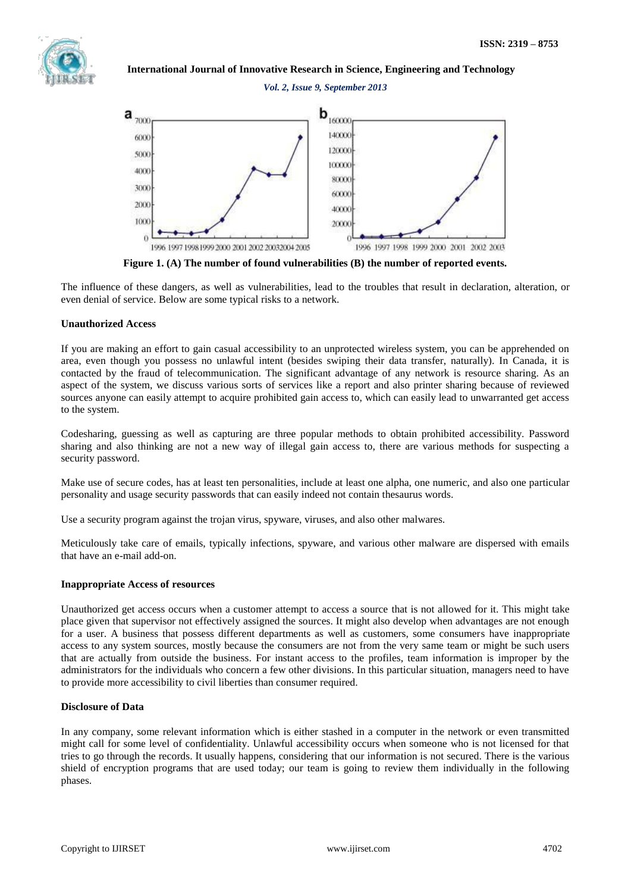

## *Vol. 2, Issue 9, September 2013*



**Figure 1. (A) The number of found vulnerabilities (B) the number of reported events.**

The influence of these dangers, as well as vulnerabilities, lead to the troubles that result in declaration, alteration, or even denial of service. Below are some typical risks to a network.

#### **Unauthorized Access**

If you are making an effort to gain casual accessibility to an unprotected wireless system, you can be apprehended on area, even though you possess no unlawful intent (besides swiping their data transfer, naturally). In Canada, it is contacted by the fraud of telecommunication. The significant advantage of any network is resource sharing. As an aspect of the system, we discuss various sorts of services like a report and also printer sharing because of reviewed sources anyone can easily attempt to acquire prohibited gain access to, which can easily lead to unwarranted get access to the system.

Codesharing, guessing as well as capturing are three popular methods to obtain prohibited accessibility. Password sharing and also thinking are not a new way of illegal gain access to, there are various methods for suspecting a security password.

Make use of secure codes, has at least ten personalities, include at least one alpha, one numeric, and also one particular personality and usage security passwords that can easily indeed not contain thesaurus words.

Use a security program against the trojan virus, spyware, viruses, and also other malwares.

Meticulously take care of emails, typically infections, spyware, and various other malware are dispersed with emails that have an e-mail add-on.

#### **Inappropriate Access of resources**

Unauthorized get access occurs when a customer attempt to access a source that is not allowed for it. This might take place given that supervisor not effectively assigned the sources. It might also develop when advantages are not enough for a user. A business that possess different departments as well as customers, some consumers have inappropriate access to any system sources, mostly because the consumers are not from the very same team or might be such users that are actually from outside the business. For instant access to the profiles, team information is improper by the administrators for the individuals who concern a few other divisions. In this particular situation, managers need to have to provide more accessibility to civil liberties than consumer required.

#### **Disclosure of Data**

In any company, some relevant information which is either stashed in a computer in the network or even transmitted might call for some level of confidentiality. Unlawful accessibility occurs when someone who is not licensed for that tries to go through the records. It usually happens, considering that our information is not secured. There is the various shield of encryption programs that are used today; our team is going to review them individually in the following phases.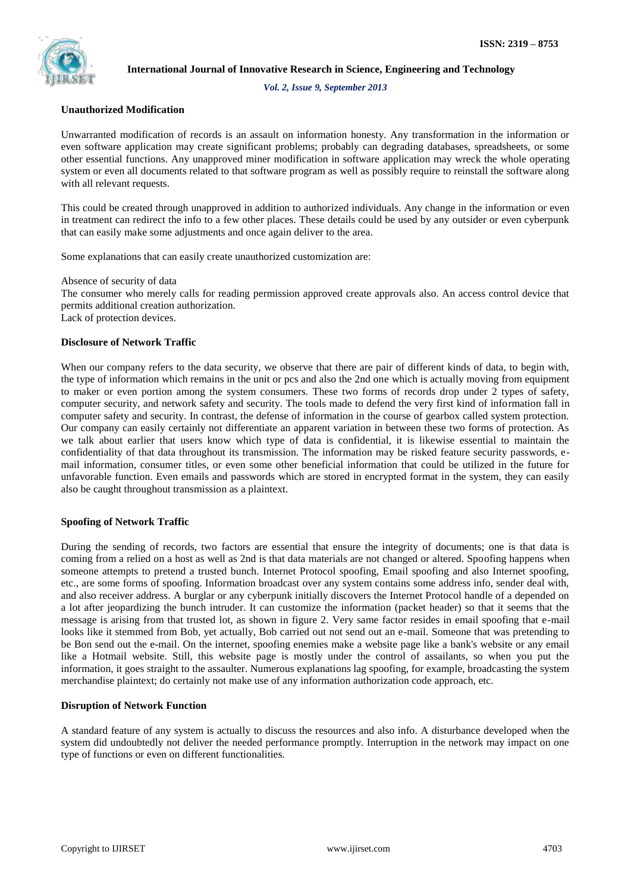

*Vol. 2, Issue 9, September 2013*

# **Unauthorized Modification**

Unwarranted modification of records is an assault on information honesty. Any transformation in the information or even software application may create significant problems; probably can degrading databases, spreadsheets, or some other essential functions. Any unapproved miner modification in software application may wreck the whole operating system or even all documents related to that software program as well as possibly require to reinstall the software along with all relevant requests.

This could be created through unapproved in addition to authorized individuals. Any change in the information or even in treatment can redirect the info to a few other places. These details could be used by any outsider or even cyberpunk that can easily make some adjustments and once again deliver to the area.

Some explanations that can easily create unauthorized customization are:

Absence of security of data

The consumer who merely calls for reading permission approved create approvals also. An access control device that permits additional creation authorization.

Lack of protection devices.

# **Disclosure of Network Traffic**

When our company refers to the data security, we observe that there are pair of different kinds of data, to begin with, the type of information which remains in the unit or pcs and also the 2nd one which is actually moving from equipment to maker or even portion among the system consumers. These two forms of records drop under 2 types of safety, computer security, and network safety and security. The tools made to defend the very first kind of information fall in computer safety and security. In contrast, the defense of information in the course of gearbox called system protection. Our company can easily certainly not differentiate an apparent variation in between these two forms of protection. As we talk about earlier that users know which type of data is confidential, it is likewise essential to maintain the confidentiality of that data throughout its transmission. The information may be risked feature security passwords, email information, consumer titles, or even some other beneficial information that could be utilized in the future for unfavorable function. Even emails and passwords which are stored in encrypted format in the system, they can easily also be caught throughout transmission as a plaintext.

#### **Spoofing of Network Traffic**

During the sending of records, two factors are essential that ensure the integrity of documents; one is that data is coming from a relied on a host as well as 2nd is that data materials are not changed or altered. Spoofing happens when someone attempts to pretend a trusted bunch. Internet Protocol spoofing, Email spoofing and also Internet spoofing, etc., are some forms of spoofing. Information broadcast over any system contains some address info, sender deal with, and also receiver address. A burglar or any cyberpunk initially discovers the Internet Protocol handle of a depended on a lot after jeopardizing the bunch intruder. It can customize the information (packet header) so that it seems that the message is arising from that trusted lot, as shown in figure 2. Very same factor resides in email spoofing that e-mail looks like it stemmed from Bob, yet actually, Bob carried out not send out an e-mail. Someone that was pretending to be Bon send out the e-mail. On the internet, spoofing enemies make a website page like a bank's website or any email like a Hotmail website. Still, this website page is mostly under the control of assailants, so when you put the information, it goes straight to the assaulter. Numerous explanations lag spoofing, for example, broadcasting the system merchandise plaintext; do certainly not make use of any information authorization code approach, etc.

#### **Disruption of Network Function**

A standard feature of any system is actually to discuss the resources and also info. A disturbance developed when the system did undoubtedly not deliver the needed performance promptly. Interruption in the network may impact on one type of functions or even on different functionalities.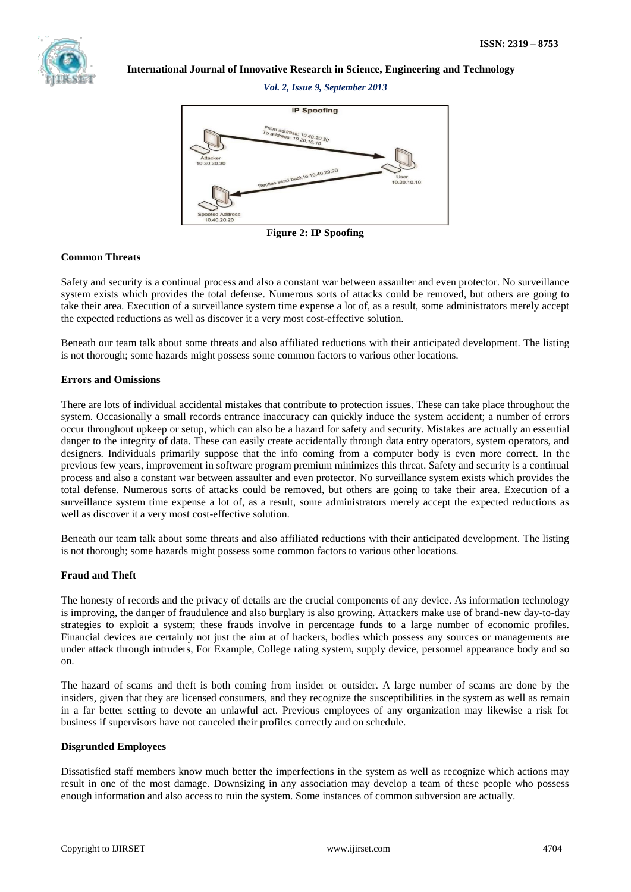

*Vol. 2, Issue 9, September 2013*



**Figure 2: IP Spoofing**

#### **Common Threats**

Safety and security is a continual process and also a constant war between assaulter and even protector. No surveillance system exists which provides the total defense. Numerous sorts of attacks could be removed, but others are going to take their area. Execution of a surveillance system time expense a lot of, as a result, some administrators merely accept the expected reductions as well as discover it a very most cost-effective solution.

Beneath our team talk about some threats and also affiliated reductions with their anticipated development. The listing is not thorough; some hazards might possess some common factors to various other locations.

#### **Errors and Omissions**

There are lots of individual accidental mistakes that contribute to protection issues. These can take place throughout the system. Occasionally a small records entrance inaccuracy can quickly induce the system accident; a number of errors occur throughout upkeep or setup, which can also be a hazard for safety and security. Mistakes are actually an essential danger to the integrity of data. These can easily create accidentally through data entry operators, system operators, and designers. Individuals primarily suppose that the info coming from a computer body is even more correct. In the previous few years, improvement in software program premium minimizes this threat. Safety and security is a continual process and also a constant war between assaulter and even protector. No surveillance system exists which provides the total defense. Numerous sorts of attacks could be removed, but others are going to take their area. Execution of a surveillance system time expense a lot of, as a result, some administrators merely accept the expected reductions as well as discover it a very most cost-effective solution.

Beneath our team talk about some threats and also affiliated reductions with their anticipated development. The listing is not thorough; some hazards might possess some common factors to various other locations.

# **Fraud and Theft**

The honesty of records and the privacy of details are the crucial components of any device. As information technology is improving, the danger of fraudulence and also burglary is also growing. Attackers make use of brand-new day-to-day strategies to exploit a system; these frauds involve in percentage funds to a large number of economic profiles. Financial devices are certainly not just the aim at of hackers, bodies which possess any sources or managements are under attack through intruders, For Example, College rating system, supply device, personnel appearance body and so on.

The hazard of scams and theft is both coming from insider or outsider. A large number of scams are done by the insiders, given that they are licensed consumers, and they recognize the susceptibilities in the system as well as remain in a far better setting to devote an unlawful act. Previous employees of any organization may likewise a risk for business if supervisors have not canceled their profiles correctly and on schedule.

# **Disgruntled Employees**

Dissatisfied staff members know much better the imperfections in the system as well as recognize which actions may result in one of the most damage. Downsizing in any association may develop a team of these people who possess enough information and also access to ruin the system. Some instances of common subversion are actually.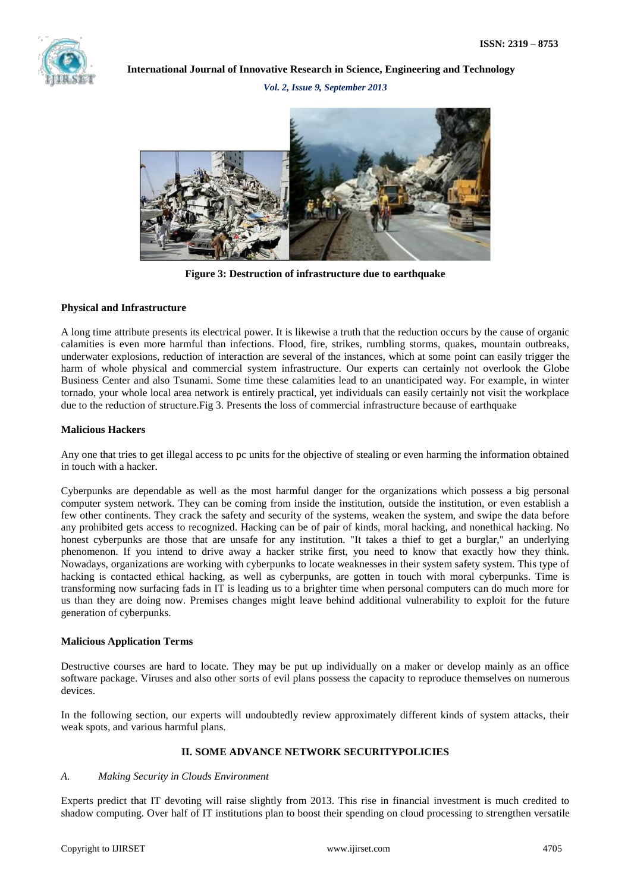

*Vol. 2, Issue 9, September 2013*



**Figure 3: Destruction of infrastructure due to earthquake**

#### **Physical and Infrastructure**

A long time attribute presents its electrical power. It is likewise a truth that the reduction occurs by the cause of organic calamities is even more harmful than infections. Flood, fire, strikes, rumbling storms, quakes, mountain outbreaks, underwater explosions, reduction of interaction are several of the instances, which at some point can easily trigger the harm of whole physical and commercial system infrastructure. Our experts can certainly not overlook the Globe Business Center and also Tsunami. Some time these calamities lead to an unanticipated way. For example, in winter tornado, your whole local area network is entirely practical, yet individuals can easily certainly not visit the workplace due to the reduction of structure.Fig 3. Presents the loss of commercial infrastructure because of earthquake

#### **Malicious Hackers**

Any one that tries to get illegal access to pc units for the objective of stealing or even harming the information obtained in touch with a hacker.

Cyberpunks are dependable as well as the most harmful danger for the organizations which possess a big personal computer system network. They can be coming from inside the institution, outside the institution, or even establish a few other continents. They crack the safety and security of the systems, weaken the system, and swipe the data before any prohibited gets access to recognized. Hacking can be of pair of kinds, moral hacking, and nonethical hacking. No honest cyberpunks are those that are unsafe for any institution. "It takes a thief to get a burglar," an underlying phenomenon. If you intend to drive away a hacker strike first, you need to know that exactly how they think. Nowadays, organizations are working with cyberpunks to locate weaknesses in their system safety system. This type of hacking is contacted ethical hacking, as well as cyberpunks, are gotten in touch with moral cyberpunks. Time is transforming now surfacing fads in IT is leading us to a brighter time when personal computers can do much more for us than they are doing now. Premises changes might leave behind additional vulnerability to exploit for the future generation of cyberpunks.

# **Malicious Application Terms**

Destructive courses are hard to locate. They may be put up individually on a maker or develop mainly as an office software package. Viruses and also other sorts of evil plans possess the capacity to reproduce themselves on numerous devices.

In the following section, our experts will undoubtedly review approximately different kinds of system attacks, their weak spots, and various harmful plans.

# **II. SOME ADVANCE NETWORK SECURITYPOLICIES**

#### *A. Making Security in Clouds Environment*

Experts predict that IT devoting will raise slightly from 2013. This rise in financial investment is much credited to shadow computing. Over half of IT institutions plan to boost their spending on cloud processing to strengthen versatile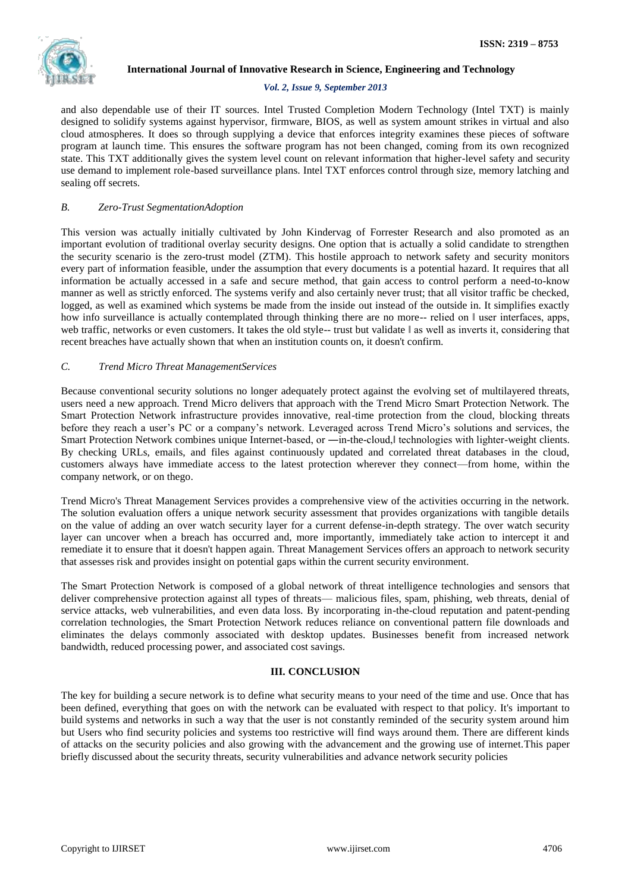#### *Vol. 2, Issue 9, September 2013*

and also dependable use of their IT sources. Intel Trusted Completion Modern Technology (Intel TXT) is mainly designed to solidify systems against hypervisor, firmware, BIOS, as well as system amount strikes in virtual and also cloud atmospheres. It does so through supplying a device that enforces integrity examines these pieces of software program at launch time. This ensures the software program has not been changed, coming from its own recognized state. This TXT additionally gives the system level count on relevant information that higher-level safety and security use demand to implement role-based surveillance plans. Intel TXT enforces control through size, memory latching and sealing off secrets.

# *B. Zero-Trust SegmentationAdoption*

This version was actually initially cultivated by John Kindervag of Forrester Research and also promoted as an important evolution of traditional overlay security designs. One option that is actually a solid candidate to strengthen the security scenario is the zero-trust model (ZTM). This hostile approach to network safety and security monitors every part of information feasible, under the assumption that every documents is a potential hazard. It requires that all information be actually accessed in a safe and secure method, that gain access to control perform a need-to-know manner as well as strictly enforced. The systems verify and also certainly never trust; that all visitor traffic be checked, logged, as well as examined which systems be made from the inside out instead of the outside in. It simplifies exactly how info surveillance is actually contemplated through thinking there are no more-- relied on  $\parallel$  user interfaces, apps, web traffic, networks or even customers. It takes the old style-- trust but validate ‖ as well as inverts it, considering that recent breaches have actually shown that when an institution counts on, it doesn't confirm.

# *C. Trend Micro Threat ManagementServices*

Because conventional security solutions no longer adequately protect against the evolving set of multilayered threats, users need a new approach. Trend Micro delivers that approach with the Trend Micro Smart Protection Network. The Smart Protection Network infrastructure provides innovative, real-time protection from the cloud, blocking threats before they reach a user's PC or a company's network. Leveraged across Trend Micro's solutions and services, the Smart Protection Network combines unique Internet-based, or —in-the-cloud, technologies with lighter-weight clients. By checking URLs, emails, and files against continuously updated and correlated threat databases in the cloud, customers always have immediate access to the latest protection wherever they connect—from home, within the company network, or on thego.

Trend Micro's Threat Management Services provides a comprehensive view of the activities occurring in the network. The solution evaluation offers a unique network security assessment that provides organizations with tangible details on the value of adding an over watch security layer for a current defense-in-depth strategy. The over watch security layer can uncover when a breach has occurred and, more importantly, immediately take action to intercept it and remediate it to ensure that it doesn't happen again. Threat Management Services offers an approach to network security that assesses risk and provides insight on potential gaps within the current security environment.

The Smart Protection Network is composed of a global network of threat intelligence technologies and sensors that deliver comprehensive protection against all types of threats— malicious files, spam, phishing, web threats, denial of service attacks, web vulnerabilities, and even data loss. By incorporating in-the-cloud reputation and patent-pending correlation technologies, the Smart Protection Network reduces reliance on conventional pattern file downloads and eliminates the delays commonly associated with desktop updates. Businesses benefit from increased network bandwidth, reduced processing power, and associated cost savings.

#### **III. CONCLUSION**

The key for building a secure network is to define what security means to your need of the time and use. Once that has been defined, everything that goes on with the network can be evaluated with respect to that policy. It's important to build systems and networks in such a way that the user is not constantly reminded of the security system around him but Users who find security policies and systems too restrictive will find ways around them. There are different kinds of attacks on the security policies and also growing with the advancement and the growing use of internet.This paper briefly discussed about the security threats, security vulnerabilities and advance network security policies